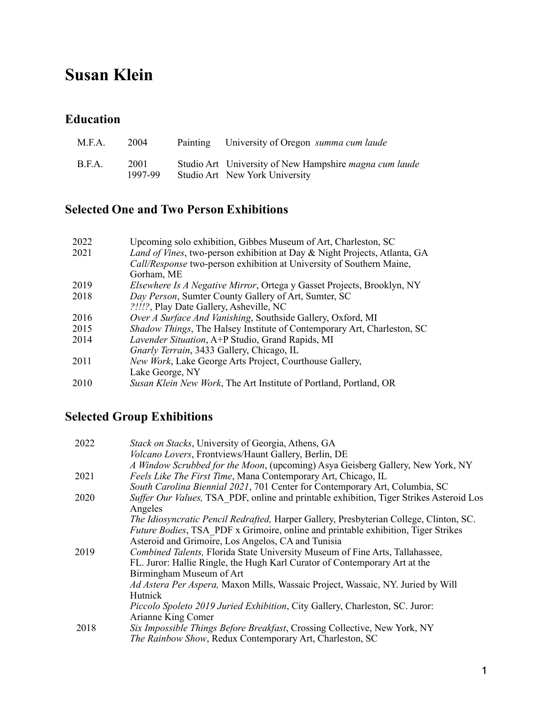# **Susan Klein**

#### **Education**

| M.F.A. | 2004            | Painting | University of Oregon summa cum laude                                                            |
|--------|-----------------|----------|-------------------------------------------------------------------------------------------------|
| B.F.A. | 2001<br>1997-99 |          | Studio Art University of New Hampshire <i>magna cum laude</i><br>Studio Art New York University |

## **Selected One and Two Person Exhibitions**

| 2022 | Upcoming solo exhibition, Gibbes Museum of Art, Charleston, SC                 |
|------|--------------------------------------------------------------------------------|
| 2021 | Land of Vines, two-person exhibition at Day & Night Projects, Atlanta, GA      |
|      | Call/Response two-person exhibition at University of Southern Maine,           |
|      | Gorham, ME                                                                     |
| 2019 | <i>Elsewhere Is A Negative Mirror</i> , Ortega y Gasset Projects, Brooklyn, NY |
| 2018 | Day Person, Sumter County Gallery of Art, Sumter, SC                           |
|      | ?!!!?, Play Date Gallery, Asheville, NC                                        |
| 2016 | Over A Surface And Vanishing, Southside Gallery, Oxford, MI                    |
| 2015 | Shadow Things, The Halsey Institute of Contemporary Art, Charleston, SC        |
| 2014 | <i>Lavender Situation</i> , A+P Studio, Grand Rapids, MI                       |
|      | Gnarly Terrain, 3433 Gallery, Chicago, IL                                      |
| 2011 | New Work, Lake George Arts Project, Courthouse Gallery,                        |
|      | Lake George, NY                                                                |
| 2010 | Susan Klein New Work, The Art Institute of Portland, Portland, OR              |

# **Selected Group Exhibitions**

| 2022 | Stack on Stacks, University of Georgia, Athens, GA                                        |
|------|-------------------------------------------------------------------------------------------|
|      | <i>Volcano Lovers</i> , Frontviews/Haunt Gallery, Berlin, DE                              |
|      | A Window Scrubbed for the Moon, (upcoming) Asya Geisberg Gallery, New York, NY            |
| 2021 | Feels Like The First Time, Mana Contemporary Art, Chicago, IL                             |
|      | South Carolina Biennial 2021, 701 Center for Contemporary Art, Columbia, SC               |
| 2020 | Suffer Our Values, TSA PDF, online and printable exhibition, Tiger Strikes Asteroid Los   |
|      | Angeles                                                                                   |
|      | The Idiosyncratic Pencil Redrafted, Harper Gallery, Presbyterian College, Clinton, SC.    |
|      | <i>Future Bodies</i> , TSA PDF x Grimoire, online and printable exhibition, Tiger Strikes |
|      | Asteroid and Grimoire, Los Angelos, CA and Tunisia                                        |
| 2019 | Combined Talents, Florida State University Museum of Fine Arts, Tallahassee,              |
|      | FL. Juror: Hallie Ringle, the Hugh Karl Curator of Contemporary Art at the                |
|      | Birmingham Museum of Art                                                                  |
|      | Ad Astera Per Aspera, Maxon Mills, Wassaic Project, Wassaic, NY. Juried by Will           |
|      | Hutnick                                                                                   |
|      | Piccolo Spoleto 2019 Juried Exhibition, City Gallery, Charleston, SC. Juror:              |
|      | Arianne King Comer                                                                        |
| 2018 | Six Impossible Things Before Breakfast, Crossing Collective, New York, NY                 |
|      | The Rainbow Show, Redux Contemporary Art, Charleston, SC                                  |
|      |                                                                                           |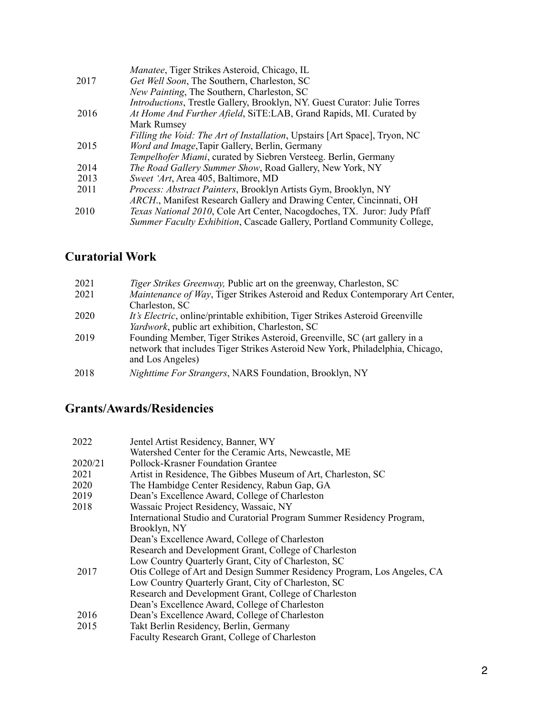|      | Manatee, Tiger Strikes Asteroid, Chicago, IL                               |
|------|----------------------------------------------------------------------------|
| 2017 | Get Well Soon, The Southern, Charleston, SC                                |
|      | New Painting, The Southern, Charleston, SC                                 |
|      | Introductions, Trestle Gallery, Brooklyn, NY. Guest Curator: Julie Torres  |
| 2016 | At Home And Further Afield, SiTE:LAB, Grand Rapids, MI. Curated by         |
|      | Mark Rumsey                                                                |
|      | Filling the Void: The Art of Installation, Upstairs [Art Space], Tryon, NC |
| 2015 | Word and Image, Tapir Gallery, Berlin, Germany                             |
|      | Tempelhofer Miami, curated by Siebren Versteeg. Berlin, Germany            |
| 2014 | The Road Gallery Summer Show, Road Gallery, New York, NY                   |
| 2013 | Sweet 'Art, Area 405, Baltimore, MD                                        |
| 2011 | Process: Abstract Painters, Brooklyn Artists Gym, Brooklyn, NY             |
|      | ARCH., Manifest Research Gallery and Drawing Center, Cincinnati, OH        |
| 2010 | Texas National 2010, Cole Art Center, Nacogdoches, TX. Juror: Judy Pfaff   |
|      | Summer Faculty Exhibition, Cascade Gallery, Portland Community College,    |
|      |                                                                            |

## **Curatorial Work**

| 2021 | <i>Tiger Strikes Greenway</i> , Public art on the greenway, Charleston, SC            |
|------|---------------------------------------------------------------------------------------|
| 2021 | Maintenance of Way, Tiger Strikes Asteroid and Redux Contemporary Art Center,         |
|      | Charleston, SC                                                                        |
| 2020 | <i>It's Electric</i> , online/printable exhibition, Tiger Strikes Asteroid Greenville |
|      | Yardwork, public art exhibition, Charleston, SC                                       |
| 2019 | Founding Member, Tiger Strikes Asteroid, Greenville, SC (art gallery in a             |
|      | network that includes Tiger Strikes Asteroid New York, Philadelphia, Chicago,         |
|      | and Los Angeles)                                                                      |
| 2018 | Nighttime For Strangers, NARS Foundation, Brooklyn, NY                                |

#### **Grants/Awards/Residencies**

|      | 2022    | Jentel Artist Residency, Banner, WY                                      |  |
|------|---------|--------------------------------------------------------------------------|--|
|      |         | Watershed Center for the Ceramic Arts, Newcastle, ME                     |  |
|      | 2020/21 | Pollock-Krasner Foundation Grantee                                       |  |
|      | 2021    | Artist in Residence, The Gibbes Museum of Art, Charleston, SC            |  |
|      | 2020    | The Hambidge Center Residency, Rabun Gap, GA                             |  |
|      | 2019    | Dean's Excellence Award, College of Charleston                           |  |
| 2018 |         | Wassaic Project Residency, Wassaic, NY                                   |  |
|      |         | International Studio and Curatorial Program Summer Residency Program,    |  |
|      |         | Brooklyn, NY                                                             |  |
|      |         | Dean's Excellence Award, College of Charleston                           |  |
|      |         | Research and Development Grant, College of Charleston                    |  |
|      |         | Low Country Quarterly Grant, City of Charleston, SC                      |  |
|      | 2017    | Otis College of Art and Design Summer Residency Program, Los Angeles, CA |  |
|      |         | Low Country Quarterly Grant, City of Charleston, SC                      |  |
|      |         | Research and Development Grant, College of Charleston                    |  |
|      |         | Dean's Excellence Award, College of Charleston                           |  |
|      | 2016    | Dean's Excellence Award, College of Charleston                           |  |
|      | 2015    | Takt Berlin Residency, Berlin, Germany                                   |  |
|      |         | Faculty Research Grant, College of Charleston                            |  |
|      |         |                                                                          |  |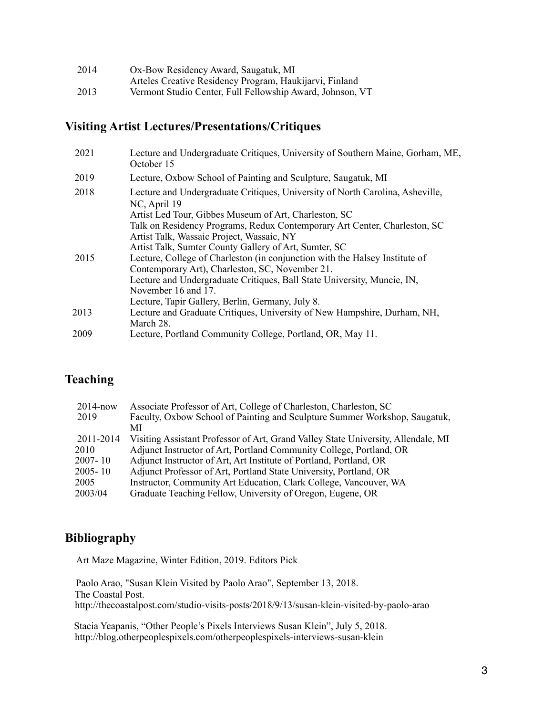| 2014 | Ox-Bow Residency Award, Saugatuk, MI                      |
|------|-----------------------------------------------------------|
|      | Arteles Creative Residency Program, Haukijarvi, Finland   |
| 2013 | Vermont Studio Center, Full Fellowship Award, Johnson, VT |

## **Visiting Artist Lectures/Presentations/Critiques**

| 2021 | Lecture and Undergraduate Critiques, University of Southern Maine, Gorham, ME,<br>October 15  |
|------|-----------------------------------------------------------------------------------------------|
| 2019 | Lecture, Oxbow School of Painting and Sculpture, Saugatuk, MI                                 |
| 2018 | Lecture and Undergraduate Critiques, University of North Carolina, Asheville,<br>NC, April 19 |
|      | Artist Led Tour, Gibbes Museum of Art, Charleston, SC                                         |
|      | Talk on Residency Programs, Redux Contemporary Art Center, Charleston, SC                     |
|      | Artist Talk, Wassaic Project, Wassaic, NY                                                     |
|      | Artist Talk, Sumter County Gallery of Art, Sumter, SC                                         |
| 2015 | Lecture, College of Charleston (in conjunction with the Halsey Institute of                   |
|      | Contemporary Art), Charleston, SC, November 21.                                               |
|      | Lecture and Undergraduate Critiques, Ball State University, Muncie, IN,                       |
|      | November 16 and 17.                                                                           |
|      | Lecture, Tapir Gallery, Berlin, Germany, July 8.                                              |
| 2013 | Lecture and Graduate Critiques, University of New Hampshire, Durham, NH,                      |
|      | March 28.                                                                                     |
| 2009 | Lecture, Portland Community College, Portland, OR, May 11.                                    |

#### **Teaching**

| Associate Professor of Art, College of Charleston, Charleston, SC                 |
|-----------------------------------------------------------------------------------|
| Faculty, Oxbow School of Painting and Sculpture Summer Workshop, Saugatuk,        |
| МI                                                                                |
| Visiting Assistant Professor of Art, Grand Valley State University, Allendale, MI |
| Adjunct Instructor of Art, Portland Community College, Portland, OR               |
| Adjunct Instructor of Art, Art Institute of Portland, Portland, OR                |
| Adjunct Professor of Art, Portland State University, Portland, OR                 |
| Instructor, Community Art Education, Clark College, Vancouver, WA                 |
| Graduate Teaching Fellow, University of Oregon, Eugene, OR                        |
|                                                                                   |

#### **Bibliography**

Art Maze Magazine, Winter Edition, 2019. Editors Pick

 Paolo Arao, "Susan Klein Visited by Paolo Arao", September 13, 2018. The Coastal Post. <http://thecoastalpost.com/studio-visits-posts/2018/9/13/susan-klein-visited-by-paolo-arao>

 Stacia Yeapanis, "Other People's Pixels Interviews Susan Klein", July 5, 2018. http://blog.otherpeoplespixels.com/otherpeoplespixels-interviews-susan-klein